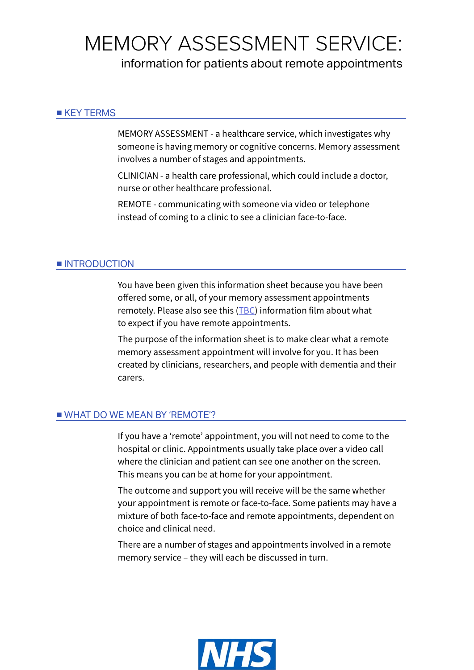# MEMORY ASSESSMENT SERVICE:

information for patients about remote appointments

#### ■ KEY TERMS

MEMORY ASSESSMENT - a healthcare service, which investigates why someone is having memory or cognitive concerns. Memory assessment involves a number of stages and appointments.

CLINICIAN - a health care professional, which could include a doctor, nurse or other healthcare professional.

REMOTE - communicating with someone via video or telephone instead of coming to a clinic to see a clinician face-to-face.

#### ■ **INTRODUCTION**

You have been given this information sheet because you have been offered some, or all, of your memory assessment appointments remotely. Please also see this (TBC) information film about what to expect if you have remote appointments.

The purpose of the information sheet is to make clear what a remote memory assessment appointment will involve for you. It has been created by clinicians, researchers, and people with dementia and their carers.

#### ■ WHAT DO WE MEAN BY 'REMOTE'?

If you have a 'remote' appointment, you will not need to come to the hospital or clinic. Appointments usually take place over a video call where the clinician and patient can see one another on the screen. This means you can be at home for your appointment.

The outcome and support you will receive will be the same whether your appointment is remote or face-to-face. Some patients may have a mixture of both face-to-face and remote appointments, dependent on choice and clinical need.

There are a number of stages and appointments involved in a remote memory service – they will each be discussed in turn.

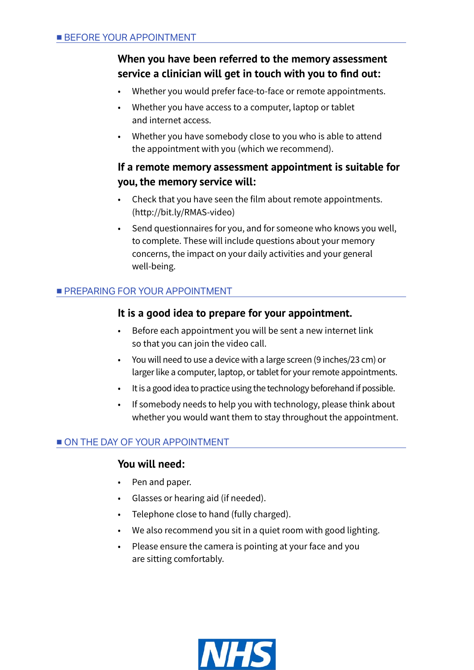# **When you have been referred to the memory assessment service a clinician will get in touch with you to find out:**

- Whether you would prefer face-to-face or remote appointments.
- Whether you have access to a computer, laptop or tablet and internet access.
- Whether you have somebody close to you who is able to attend the appointment with you (which we recommend).

## **If a remote memory assessment appointment is suitable for you, the memory service will:**

- Check that you have seen the film about remote appointments. (http://bit.ly/RMAS-video)
- Send questionnaires for you, and for someone who knows you well, to complete. These will include questions about your memory concerns, the impact on your daily activities and your general well-being.

## ■ PREPARING FOR YOUR APPOINTMENT

## **It is a good idea to prepare for your appointment.**

- Before each appointment you will be sent a new internet link so that you can join the video call.
- You will need to use a device with a large screen (9 inches/23 cm) or larger like a computer, laptop, or tablet for your remote appointments.
- It is a good idea to practice using the technology beforehand if possible.
- If somebody needs to help you with technology, please think about whether you would want them to stay throughout the appointment.

# ■ ON THE DAY OF YOUR APPOINTMENT

## **You will need:**

- Pen and paper.
- Glasses or hearing aid (if needed).
- Telephone close to hand (fully charged).
- We also recommend you sit in a quiet room with good lighting.
- Please ensure the camera is pointing at your face and you are sitting comfortably.

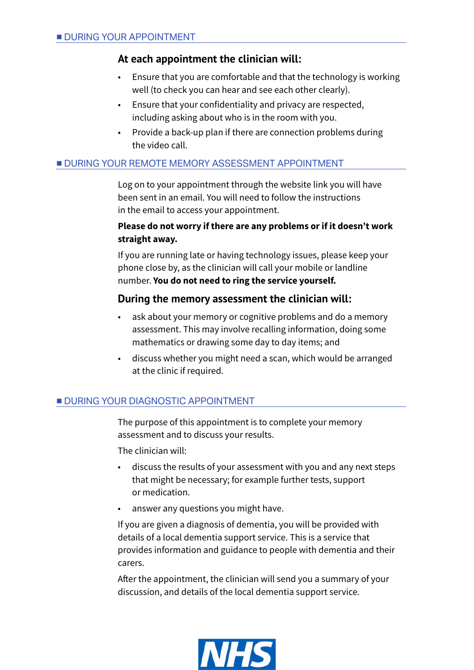## **At each appointment the clinician will:**

- Ensure that you are comfortable and that the technology is working well (to check you can hear and see each other clearly).
- Ensure that your confidentiality and privacy are respected, including asking about who is in the room with you.
- Provide a back-up plan if there are connection problems during the video call.

#### ■ DURING YOUR REMOTE MEMORY ASSESSMENT APPOINTMENT

Log on to your appointment through the website link you will have been sent in an email. You will need to follow the instructions in the email to access your appointment.

#### **Please do not worry if there are any problems or if it doesn't work straight away.**

If you are running late or having technology issues, please keep your phone close by, as the clinician will call your mobile or landline number. **You do not need to ring the service yourself.**

## **During the memory assessment the clinician will:**

- ask about your memory or cognitive problems and do a memory assessment. This may involve recalling information, doing some mathematics or drawing some day to day items; and
- discuss whether you might need a scan, which would be arranged at the clinic if required.

## **■ DURING YOUR DIAGNOSTIC APPOINTMENT**

The purpose of this appointment is to complete your memory assessment and to discuss your results.

The clinician will:

- discuss the results of your assessment with you and any next steps that might be necessary; for example further tests, support or medication.
- answer any questions you might have.

If you are given a diagnosis of dementia, you will be provided with details of a local dementia support service. This is a service that provides information and guidance to people with dementia and their carers.

After the appointment, the clinician will send you a summary of your discussion, and details of the local dementia support service.